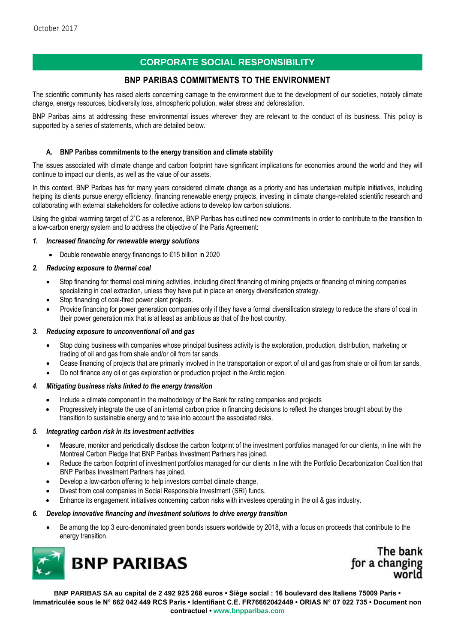# **CORPORATE SOCIAL RESPONSIBILITY**

## **BNP PARIBAS COMMITMENTS TO THE ENVIRONMENT**

The scientific community has raised alerts concerning damage to the environment due to the development of our societies, notably climate change, energy resources, biodiversity loss, atmospheric pollution, water stress and deforestation.

BNP Paribas aims at addressing these environmental issues wherever they are relevant to the conduct of its business. This policy is supported by a series of statements, which are detailed below.

## **A. BNP Paribas commitments to the energy transition and climate stability**

The issues associated with climate change and carbon footprint have significant implications for economies around the world and they will continue to impact our clients, as well as the value of our assets.

In this context, BNP Paribas has for many years considered climate change as a priority and has undertaken multiple initiatives, including helping its clients pursue energy efficiency, financing renewable energy projects, investing in climate change-related scientific research and collaborating with external stakeholders for collective actions to develop low carbon solutions.

Using the global warming target of 2˚C as a reference, BNP Paribas has outlined new commitments in order to contribute to the transition to a low-carbon energy system and to address the objective of the Paris Agreement:

#### *1. Increased financing for renewable energy solutions*

Double renewable energy financings to €15 billion in 2020

### *2. Reducing exposure to thermal coal*

- Stop financing for thermal coal mining activities, including direct financing of mining projects or financing of mining companies specializing in coal extraction, unless they have put in place an energy diversification strategy.
- Stop financing of coal-fired power plant projects.
- Provide financing for power generation companies only if they have a formal diversification strategy to reduce the share of coal in their power generation mix that is at least as ambitious as that of the host country.

#### *3. Reducing exposure to unconventional oil and gas*

- Stop doing business with companies whose principal business activity is the exploration, production, distribution, marketing or trading of oil and gas from shale and/or oil from tar sands.
- Cease financing of projects that are primarily involved in the transportation or export of oil and gas from shale or oil from tar sands.
- Do not finance any oil or gas exploration or production project in the Arctic region.

#### *4. Mitigating business risks linked to the energy transition*

- Include a climate component in the methodology of the Bank for rating companies and projects
- Progressively integrate the use of an internal carbon price in financing decisions to reflect the changes brought about by the transition to sustainable energy and to take into account the associated risks.

#### *5. Integrating carbon risk in its investment activities*

- Measure, monitor and periodically disclose the carbon footprint of the investment portfolios managed for our clients, in line with the Montreal Carbon Pledge that BNP Paribas Investment Partners has joined.
- Reduce the carbon footprint of investment portfolios managed for our clients in line with the Portfolio Decarbonization Coalition that BNP Paribas Investment Partners has joined.
- Develop a low-carbon offering to help investors combat climate change.
- Divest from coal companies in Social Responsible Investment (SRI) funds.
- Enhance its engagement initiatives concerning carbon risks with investees operating in the oil & gas industry.

#### *6. Develop innovative financing and investment solutions to drive energy transition*

 Be among the top 3 euro-denominated green bonds issuers worldwide by 2018, with a focus on proceeds that contribute to the energy transition.



The bank for a changing

**BNP PARIBAS SA au capital de 2 492 925 268 euros • Siège social : 16 boulevard des Italiens 75009 Paris • Immatriculée sous le N° 662 042 449 RCS Paris • Identifiant C.E. FR76662042449 • ORIAS N° 07 022 735 • Document non contractuel [• www.bnpparibas.com](http://www.bnpparibas.com/)**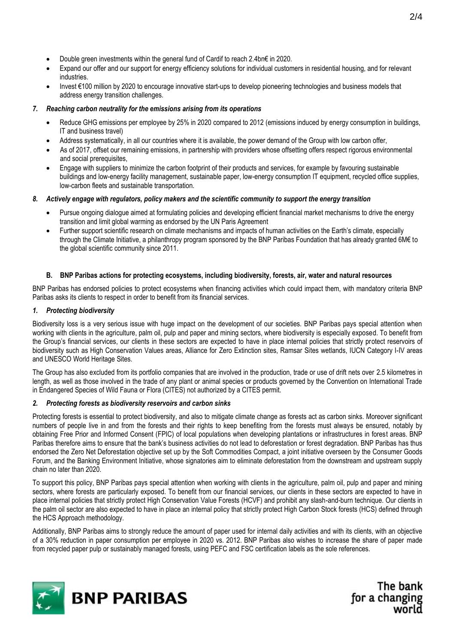- Double green investments within the general fund of Cardif to reach 2.4bn€ in 2020.
- Expand our offer and our support for energy efficiency solutions for individual customers in residential housing, and for relevant industries.
- Invest €100 million by 2020 to encourage innovative start-ups to develop pioneering technologies and business models that address energy transition challenges.

#### *7. Reaching carbon neutrality for the emissions arising from its operations*

- Reduce GHG emissions per employee by 25% in 2020 compared to 2012 (emissions induced by energy consumption in buildings, IT and business travel)
- Address systematically, in all our countries where it is available, the power demand of the Group with low carbon offer,
- As of 2017, offset our remaining emissions, in partnership with providers whose offsetting offers respect rigorous environmental and social prerequisites.
- Engage with suppliers to minimize the carbon footprint of their products and services, for example by favouring sustainable buildings and low-energy facility management, sustainable paper, low-energy consumption IT equipment, recycled office supplies, low-carbon fleets and sustainable transportation.

#### *8. Actively engage with regulators, policy makers and the scientific community to support the energy transition*

- Pursue ongoing dialogue aimed at formulating policies and developing efficient financial market mechanisms to drive the energy transition and limit global warming as endorsed by the UN Paris Agreement
- Further support scientific research on climate mechanisms and impacts of human activities on the Earth's climate, especially through the Climate Initiative, a philanthropy program sponsored by the BNP Paribas Foundation that has already granted 6M€ to the global scientific community since 2011.

#### **B. BNP Paribas actions for protecting ecosystems, including biodiversity, forests, air, water and natural resources**

BNP Paribas has endorsed policies to protect ecosystems when financing activities which could impact them, with mandatory criteria BNP Paribas asks its clients to respect in order to benefit from its financial services.

#### *1. Protecting biodiversity*

Biodiversity loss is a very serious issue with huge impact on the development of our societies. BNP Paribas pays special attention when working with clients in the agriculture, palm oil, pulp and paper and mining sectors, where biodiversity is especially exposed. To benefit from the Group's financial services, our clients in these sectors are expected to have in place internal policies that strictly protect reservoirs of biodiversity such as High Conservation Values areas, Alliance for Zero Extinction sites, Ramsar Sites wetlands, IUCN Category I-IV areas and UNESCO World Heritage Sites.

The Group has also excluded from its portfolio companies that are involved in the production, trade or use of drift nets over 2.5 kilometres in length, as well as those involved in the trade of any plant or animal species or products governed by the Convention on International Trade in Endangered Species of Wild Fauna or Flora (CITES) not authorized by a CITES permit.

#### *2. Protecting forests as biodiversity reservoirs and carbon sinks*

Protecting forests is essential to protect biodiversity, and also to mitigate climate change as forests act as carbon sinks. Moreover significant numbers of people live in and from the forests and their rights to keep benefiting from the forests must always be ensured, notably by obtaining Free Prior and Informed Consent (FPIC) of local populations when developing plantations or infrastructures in forest areas. BNP Paribas therefore aims to ensure that the bank's business activities do not lead to deforestation or forest degradation. BNP Paribas has thus endorsed the Zero Net Deforestation objective set up by the Soft Commodities Compact, a joint initiative overseen by the Consumer Goods Forum, and the Banking Environment Initiative, whose signatories aim to eliminate deforestation from the downstream and upstream supply chain no later than 2020.

To support this policy, BNP Paribas pays special attention when working with clients in the agriculture, palm oil, pulp and paper and mining sectors, where forests are particularly exposed. To benefit from our financial services, our clients in these sectors are expected to have in place internal policies that strictly protect High Conservation Value Forests (HCVF) and prohibit any slash-and-burn technique. Our clients in the palm oil sector are also expected to have in place an internal policy that strictly protect High Carbon Stock forests (HCS) defined through the HCS Approach methodology.

Additionally, BNP Paribas aims to strongly reduce the amount of paper used for internal daily activities and with its clients, with an objective of a 30% reduction in paper consumption per employee in 2020 vs. 2012. BNP Paribas also wishes to increase the share of paper made from recycled paper pulp or sustainably managed forests, using PEFC and FSC certification labels as the sole references.



The bank for a changing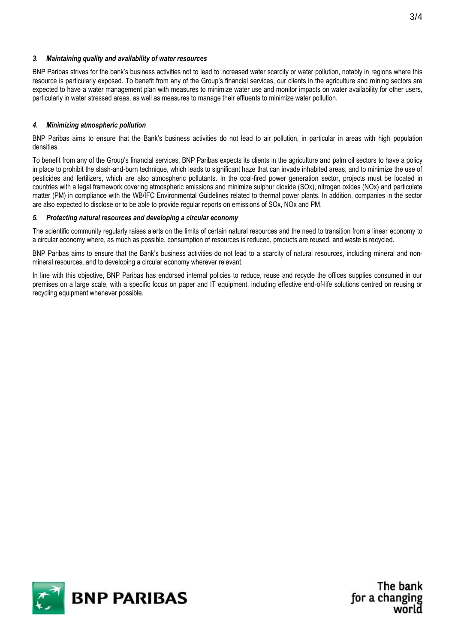### *3. Maintaining quality and availability of water resources*

BNP Paribas strives for the bank's business activities not to lead to increased water scarcity or water pollution, notably in regions where this resource is particularly exposed. To benefit from any of the Group's financial services, our clients in the agriculture and mining sectors are expected to have a water management plan with measures to minimize water use and monitor impacts on water availability for other users, particularly in water stressed areas, as well as measures to manage their effluents to minimize water pollution.

### *4. Minimizing atmospheric pollution*

BNP Paribas aims to ensure that the Bank's business activities do not lead to air pollution, in particular in areas with high population densities.

To benefit from any of the Group's financial services, BNP Paribas expects its clients in the agriculture and palm oil sectors to have a policy in place to prohibit the slash-and-burn technique, which leads to significant haze that can invade inhabited areas, and to minimize the use of pesticides and fertilizers, which are also atmospheric pollutants. In the coal-fired power generation sector, projects must be located in countries with a legal framework covering atmospheric emissions and minimize sulphur dioxide (SOx), nitrogen oxides (NOx) and particulate matter (PM) in compliance with the WB/IFC Environmental Guidelines related to thermal power plants. In addition, companies in the sector are also expected to disclose or to be able to provide regular reports on emissions of SOx, NOx and PM.

#### *5. Protecting natural resources and developing a circular economy*

The scientific community regularly raises alerts on the limits of certain natural resources and the need to transition from a linear economy to a circular economy where, as much as possible, consumption of resources is reduced, products are reused, and waste is recycled.

BNP Paribas aims to ensure that the Bank's business activities do not lead to a scarcity of natural resources, including mineral and nonmineral resources, and to developing a circular economy wherever relevant.

In line with this objective, BNP Paribas has endorsed internal policies to reduce, reuse and recycle the offices supplies consumed in our premises on a large scale, with a specific focus on paper and IT equipment, including effective end-of-life solutions centred on reusing or recycling equipment whenever possible.



The bank for a changing